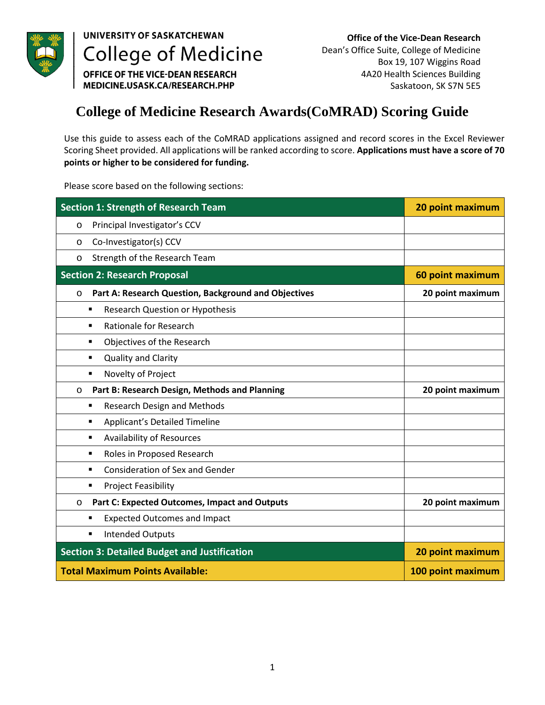

## UNIVERSITY OF SASKATCHEWAN **College of Medicine**

**Office of the Vice-Dean Research**  Dean's Office Suite, College of Medicine Box 19, 107 Wiggins Road 4A20 Health Sciences Building Saskatoon, SK S7N 5E5

OFFICE OF THE VICE-DEAN RESEARCH MEDICINE.USASK.CA/RESEARCH.PHP

## **College of Medicine Research Awards(CoMRAD) Scoring Guide**

Use this guide to assess each of the CoMRAD applications assigned and record scores in the Excel Reviewer Scoring Sheet provided. All applications will be ranked according to score. **Applications must have a score of 70 points or higher to be considered for funding.** 

Please score based on the following sections:

| <b>Section 1: Strength of Research Team</b>                     | 20 point maximum  |
|-----------------------------------------------------------------|-------------------|
| Principal Investigator's CCV<br>$\circ$                         |                   |
| Co-Investigator(s) CCV<br>O                                     |                   |
| Strength of the Research Team<br>$\circ$                        |                   |
| <b>Section 2: Research Proposal</b>                             | 60 point maximum  |
| Part A: Research Question, Background and Objectives<br>$\circ$ | 20 point maximum  |
| Research Question or Hypothesis<br>٠                            |                   |
| <b>Rationale for Research</b><br>٠                              |                   |
| Objectives of the Research<br>٠                                 |                   |
| <b>Quality and Clarity</b><br>٠                                 |                   |
| Novelty of Project<br>٠                                         |                   |
| Part B: Research Design, Methods and Planning<br>$\circ$        | 20 point maximum  |
| <b>Research Design and Methods</b><br>٠                         |                   |
| Applicant's Detailed Timeline<br>٠                              |                   |
| <b>Availability of Resources</b><br>٠                           |                   |
| Roles in Proposed Research<br>٠                                 |                   |
| <b>Consideration of Sex and Gender</b><br>٠                     |                   |
| <b>Project Feasibility</b><br>٠                                 |                   |
| Part C: Expected Outcomes, Impact and Outputs<br>$\circ$        | 20 point maximum  |
| <b>Expected Outcomes and Impact</b><br>٠                        |                   |
| <b>Intended Outputs</b><br>٠                                    |                   |
| <b>Section 3: Detailed Budget and Justification</b>             | 20 point maximum  |
| <b>Total Maximum Points Available:</b>                          | 100 point maximum |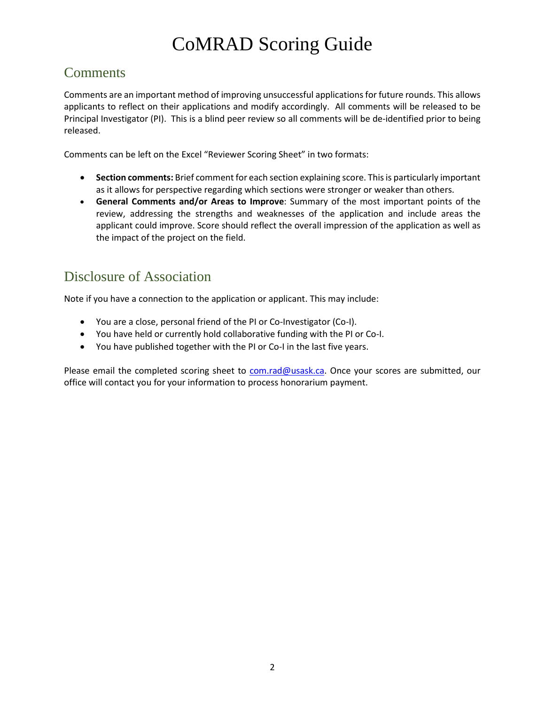# CoMRAD Scoring Guide

## **Comments**

Comments are an important method of improving unsuccessful applications for future rounds. This allows applicants to reflect on their applications and modify accordingly. All comments will be released to be Principal Investigator (PI). This is a blind peer review so all comments will be de-identified prior to being released.

Comments can be left on the Excel "Reviewer Scoring Sheet" in two formats:

- **Section comments:** Brief comment for each section explaining score. This is particularly important as it allows for perspective regarding which sections were stronger or weaker than others.
- **General Comments and/or Areas to Improve**: Summary of the most important points of the review, addressing the strengths and weaknesses of the application and include areas the applicant could improve. Score should reflect the overall impression of the application as well as the impact of the project on the field.

## Disclosure of Association

Note if you have a connection to the application or applicant. This may include:

- You are a close, personal friend of the PI or Co-Investigator (Co-I).
- You have held or currently hold collaborative funding with the PI or Co-I.
- You have published together with the PI or Co-I in the last five years.

Please email the completed scoring sheet to [com.rad@usask.ca.](mailto:com.rad@usask.ca) Once your scores are submitted, our office will contact you for your information to process honorarium payment.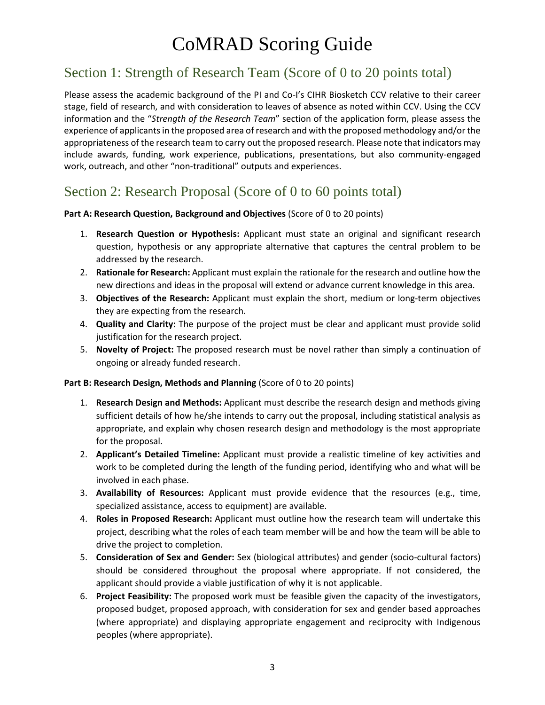## CoMRAD Scoring Guide

## Section 1: Strength of Research Team (Score of 0 to 20 points total)

Please assess the academic background of the PI and Co-I's CIHR Biosketch CCV relative to their career stage, field of research, and with consideration to leaves of absence as noted within CCV. Using the CCV information and the "*Strength of the Research Team*" section of the application form, please assess the experience of applicants in the proposed area of research and with the proposed methodology and/or the appropriateness of the research team to carry out the proposed research. Please note that indicators may include awards, funding, work experience, publications, presentations, but also community-engaged work, outreach, and other "non-traditional" outputs and experiences.

#### Section 2: Research Proposal (Score of 0 to 60 points total)

#### **Part A: Research Question, Background and Objectives** (Score of 0 to 20 points)

- 1. **Research Question or Hypothesis:** Applicant must state an original and significant research question, hypothesis or any appropriate alternative that captures the central problem to be addressed by the research.
- 2. **Rationale for Research:** Applicant must explain the rationale for the research and outline how the new directions and ideas in the proposal will extend or advance current knowledge in this area.
- 3. **Objectives of the Research:** Applicant must explain the short, medium or long-term objectives they are expecting from the research.
- 4. **Quality and Clarity:** The purpose of the project must be clear and applicant must provide solid justification for the research project.
- 5. **Novelty of Project:** The proposed research must be novel rather than simply a continuation of ongoing or already funded research.

#### **Part B: Research Design, Methods and Planning** (Score of 0 to 20 points)

- 1. **Research Design and Methods:** Applicant must describe the research design and methods giving sufficient details of how he/she intends to carry out the proposal, including statistical analysis as appropriate, and explain why chosen research design and methodology is the most appropriate for the proposal.
- 2. **Applicant's Detailed Timeline:** Applicant must provide a realistic timeline of key activities and work to be completed during the length of the funding period, identifying who and what will be involved in each phase.
- 3. **Availability of Resources:** Applicant must provide evidence that the resources (e.g., time, specialized assistance, access to equipment) are available.
- 4. **Roles in Proposed Research:** Applicant must outline how the research team will undertake this project, describing what the roles of each team member will be and how the team will be able to drive the project to completion.
- 5. **Consideration of Sex and Gender:** Sex (biological attributes) and gender (socio-cultural factors) should be considered throughout the proposal where appropriate. If not considered, the applicant should provide a viable justification of why it is not applicable.
- 6. **Project Feasibility:** The proposed work must be feasible given the capacity of the investigators, proposed budget, proposed approach, with consideration for sex and gender based approaches (where appropriate) and displaying appropriate engagement and reciprocity with Indigenous peoples (where appropriate).